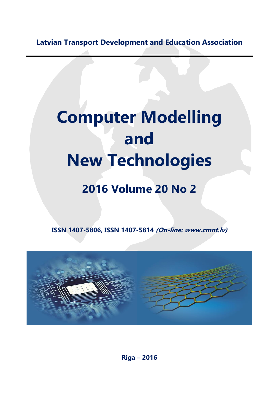**Latvian Transport Development and Education Association**

## **Computer Modelling and New Technologies**

## **2016 Volume 20 No 2**

**ISSN 1407-5806, ISSN 1407-5814 (On-line: www.cmnt.lv)**



**Riga – 2016**